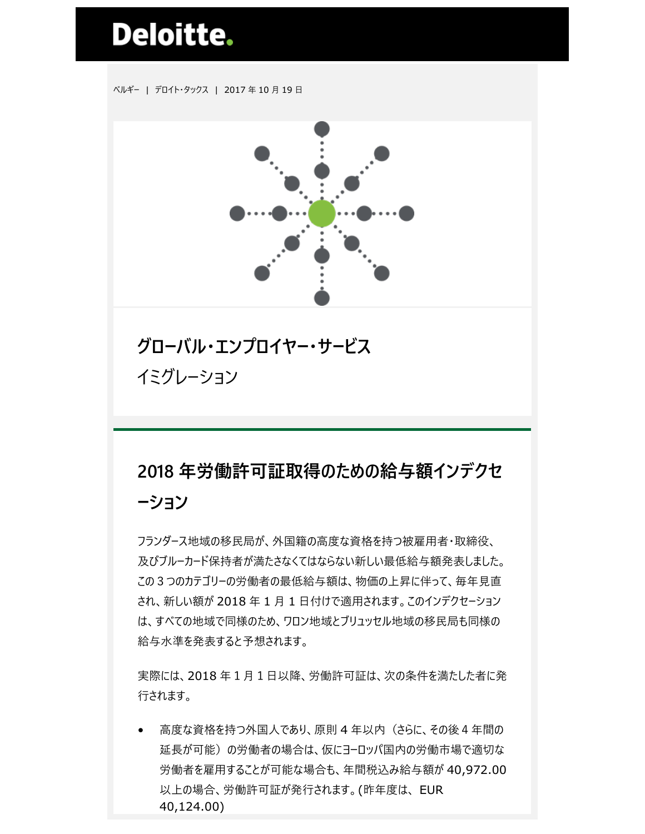## **Deloitte.**

ベルギー | デロイト・タックス | 2017 年 10 月 19 日



## **グローバル・エンプロイヤー・サービス** イミグレーション

## **2018 年労働許可証取得のための給与額インデクセ ーション**

フランダース地域の移民局が、外国籍の高度な資格を持つ被雇用者・取締役、 及びブルーカード保持者が満たさなくてはならない新しい最低給与額発表しました。 この3つのカテゴリーの労働者の最低給与額は、物価の上昇に伴って、毎年見直 され、新しい額が 2018 年 1 月 1 日付けで適用されます。このインデクセーション は、すべての地域で同様のため、ワロン地域とブリュッセル地域の移民局も同様の 給与水準を発表すると予想されます。

実際には、2018 年1月1日以降、労働許可証は、次の条件を満たした者に発 行されます。

• 高度な資格を持つ外国人であり、原則 4 年以内(さらに、その後4年間の 延長が可能)の労働者の場合は、仮にヨーロッパ国内の労働市場で適切な 労働者を雇用することが可能な場合も、年間税込み給与額が 40,972.00 以上の場合、労働許可証が発行されます。(昨年度は、 EUR 40,124.00)